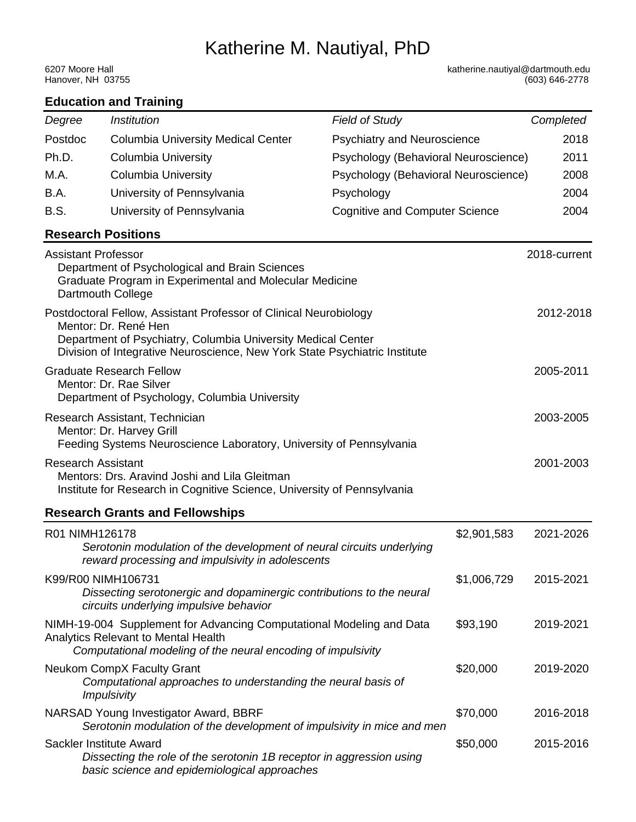# Katherine M. Nautiyal, PhD

Hanover, NH 03755

6207 Moore Hall **6207 Moore Hall** 6207 Moore Hall 6207 Moore Hall 6207 Moore Hall 6207 Moore Hall 6600 Music et<br>Hanover, NH 63755 (603) 646-2778

| <b>Education and Training</b>                                                                                                                                                                                                           |                                                                                                                                                                             |                                       |             |              |  |  |  |  |
|-----------------------------------------------------------------------------------------------------------------------------------------------------------------------------------------------------------------------------------------|-----------------------------------------------------------------------------------------------------------------------------------------------------------------------------|---------------------------------------|-------------|--------------|--|--|--|--|
| Degree                                                                                                                                                                                                                                  | <i><b>Institution</b></i>                                                                                                                                                   | <b>Field of Study</b>                 |             | Completed    |  |  |  |  |
| Postdoc                                                                                                                                                                                                                                 | <b>Columbia University Medical Center</b>                                                                                                                                   | <b>Psychiatry and Neuroscience</b>    |             | 2018         |  |  |  |  |
| Ph.D.                                                                                                                                                                                                                                   | <b>Columbia University</b>                                                                                                                                                  | Psychology (Behavioral Neuroscience)  |             | 2011         |  |  |  |  |
| M.A.                                                                                                                                                                                                                                    | <b>Columbia University</b>                                                                                                                                                  | Psychology (Behavioral Neuroscience)  |             | 2008         |  |  |  |  |
| B.A.                                                                                                                                                                                                                                    | University of Pennsylvania                                                                                                                                                  | Psychology                            |             | 2004         |  |  |  |  |
| <b>B.S.</b>                                                                                                                                                                                                                             | University of Pennsylvania                                                                                                                                                  | <b>Cognitive and Computer Science</b> | 2004        |              |  |  |  |  |
| <b>Research Positions</b>                                                                                                                                                                                                               |                                                                                                                                                                             |                                       |             |              |  |  |  |  |
| <b>Assistant Professor</b>                                                                                                                                                                                                              | Department of Psychological and Brain Sciences<br>Graduate Program in Experimental and Molecular Medicine<br>Dartmouth College                                              |                                       |             | 2018-current |  |  |  |  |
| Postdoctoral Fellow, Assistant Professor of Clinical Neurobiology<br>Mentor: Dr. René Hen<br>Department of Psychiatry, Columbia University Medical Center<br>Division of Integrative Neuroscience, New York State Psychiatric Institute |                                                                                                                                                                             |                                       |             |              |  |  |  |  |
| <b>Graduate Research Fellow</b><br>Mentor: Dr. Rae Silver<br>Department of Psychology, Columbia University                                                                                                                              |                                                                                                                                                                             |                                       |             |              |  |  |  |  |
| Research Assistant, Technician<br>Mentor: Dr. Harvey Grill<br>Feeding Systems Neuroscience Laboratory, University of Pennsylvania                                                                                                       |                                                                                                                                                                             |                                       |             |              |  |  |  |  |
| <b>Research Assistant</b><br>Mentors: Drs. Aravind Joshi and Lila Gleitman<br>Institute for Research in Cognitive Science, University of Pennsylvania                                                                                   |                                                                                                                                                                             |                                       |             |              |  |  |  |  |
|                                                                                                                                                                                                                                         | <b>Research Grants and Fellowships</b>                                                                                                                                      |                                       |             |              |  |  |  |  |
| R01 NIMH126178                                                                                                                                                                                                                          | Serotonin modulation of the development of neural circuits underlying<br>reward processing and impulsivity in adolescents                                                   |                                       | \$2,901,583 | 2021-2026    |  |  |  |  |
| K99/R00 NIMH106731                                                                                                                                                                                                                      | Dissecting serotonergic and dopaminergic contributions to the neural<br>circuits underlying impulsive behavior                                                              |                                       | \$1,006,729 | 2015-2021    |  |  |  |  |
|                                                                                                                                                                                                                                         | NIMH-19-004 Supplement for Advancing Computational Modeling and Data<br>Analytics Relevant to Mental Health<br>Computational modeling of the neural encoding of impulsivity |                                       | \$93,190    | 2019-2021    |  |  |  |  |
|                                                                                                                                                                                                                                         | Neukom CompX Faculty Grant<br>Computational approaches to understanding the neural basis of<br><i><b>Impulsivity</b></i>                                                    |                                       | \$20,000    | 2019-2020    |  |  |  |  |
|                                                                                                                                                                                                                                         | NARSAD Young Investigator Award, BBRF<br>Serotonin modulation of the development of impulsivity in mice and men                                                             |                                       | \$70,000    | 2016-2018    |  |  |  |  |
| Sackler Institute Award                                                                                                                                                                                                                 | Dissecting the role of the serotonin 1B receptor in aggression using<br>basic science and epidemiological approaches                                                        |                                       | \$50,000    | 2015-2016    |  |  |  |  |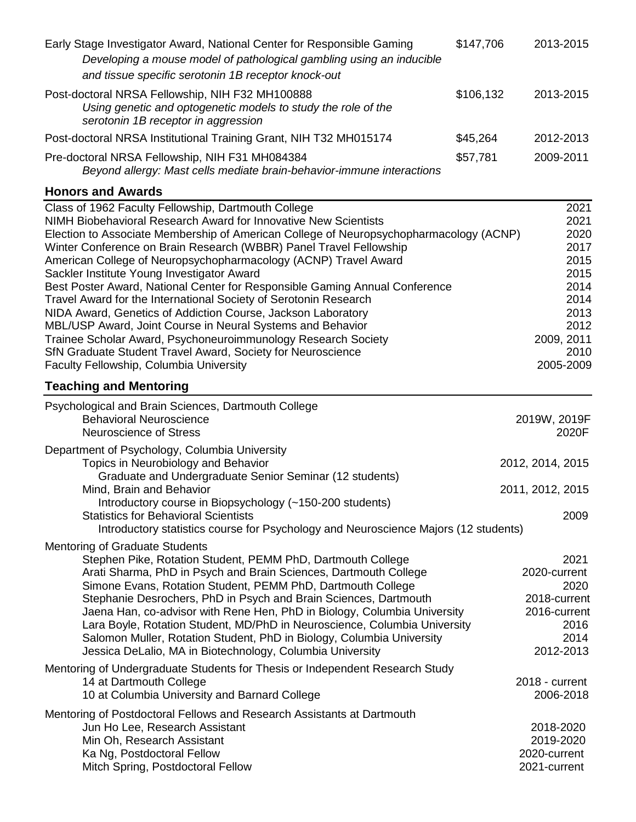| Early Stage Investigator Award, National Center for Responsible Gaming<br>Developing a mouse model of pathological gambling using an inducible<br>and tissue specific serotonin 1B receptor knock-out                                                                                                                                                                                                                                                                                                                                                                                                                                                                                                                                                                                                                                                               | \$147,706 | 2013-2015                                                                                                       |
|---------------------------------------------------------------------------------------------------------------------------------------------------------------------------------------------------------------------------------------------------------------------------------------------------------------------------------------------------------------------------------------------------------------------------------------------------------------------------------------------------------------------------------------------------------------------------------------------------------------------------------------------------------------------------------------------------------------------------------------------------------------------------------------------------------------------------------------------------------------------|-----------|-----------------------------------------------------------------------------------------------------------------|
| Post-doctoral NRSA Fellowship, NIH F32 MH100888<br>Using genetic and optogenetic models to study the role of the<br>serotonin 1B receptor in aggression                                                                                                                                                                                                                                                                                                                                                                                                                                                                                                                                                                                                                                                                                                             | \$106,132 | 2013-2015                                                                                                       |
| Post-doctoral NRSA Institutional Training Grant, NIH T32 MH015174                                                                                                                                                                                                                                                                                                                                                                                                                                                                                                                                                                                                                                                                                                                                                                                                   | \$45,264  | 2012-2013                                                                                                       |
| Pre-doctoral NRSA Fellowship, NIH F31 MH084384<br>Beyond allergy: Mast cells mediate brain-behavior-immune interactions                                                                                                                                                                                                                                                                                                                                                                                                                                                                                                                                                                                                                                                                                                                                             | \$57,781  | 2009-2011                                                                                                       |
| <b>Honors and Awards</b>                                                                                                                                                                                                                                                                                                                                                                                                                                                                                                                                                                                                                                                                                                                                                                                                                                            |           |                                                                                                                 |
| Class of 1962 Faculty Fellowship, Dartmouth College<br>NIMH Biobehavioral Research Award for Innovative New Scientists<br>Election to Associate Membership of American College of Neuropsychopharmacology (ACNP)<br>Winter Conference on Brain Research (WBBR) Panel Travel Fellowship<br>American College of Neuropsychopharmacology (ACNP) Travel Award<br>Sackler Institute Young Investigator Award<br>Best Poster Award, National Center for Responsible Gaming Annual Conference<br>Travel Award for the International Society of Serotonin Research<br>NIDA Award, Genetics of Addiction Course, Jackson Laboratory<br>MBL/USP Award, Joint Course in Neural Systems and Behavior<br>Trainee Scholar Award, Psychoneuroimmunology Research Society<br>SfN Graduate Student Travel Award, Society for Neuroscience<br>Faculty Fellowship, Columbia University |           | 2021<br>2021<br>2020<br>2017<br>2015<br>2015<br>2014<br>2014<br>2013<br>2012<br>2009, 2011<br>2010<br>2005-2009 |
| <b>Teaching and Mentoring</b>                                                                                                                                                                                                                                                                                                                                                                                                                                                                                                                                                                                                                                                                                                                                                                                                                                       |           |                                                                                                                 |
| Psychological and Brain Sciences, Dartmouth College<br><b>Behavioral Neuroscience</b><br><b>Neuroscience of Stress</b>                                                                                                                                                                                                                                                                                                                                                                                                                                                                                                                                                                                                                                                                                                                                              |           | 2019W, 2019F<br>2020F                                                                                           |
| Department of Psychology, Columbia University<br>Topics in Neurobiology and Behavior<br>Graduate and Undergraduate Senior Seminar (12 students)<br>Mind, Brain and Behavior<br>Introductory course in Biopsychology (~150-200 students)                                                                                                                                                                                                                                                                                                                                                                                                                                                                                                                                                                                                                             |           | 2012, 2014, 2015<br>2011, 2012, 2015                                                                            |
| <b>Statistics for Behavioral Scientists</b><br>Introductory statistics course for Psychology and Neuroscience Majors (12 students)                                                                                                                                                                                                                                                                                                                                                                                                                                                                                                                                                                                                                                                                                                                                  |           | 2009                                                                                                            |
| <b>Mentoring of Graduate Students</b><br>Stephen Pike, Rotation Student, PEMM PhD, Dartmouth College<br>Arati Sharma, PhD in Psych and Brain Sciences, Dartmouth College<br>Simone Evans, Rotation Student, PEMM PhD, Dartmouth College<br>Stephanie Desrochers, PhD in Psych and Brain Sciences, Dartmouth<br>Jaena Han, co-advisor with Rene Hen, PhD in Biology, Columbia University<br>Lara Boyle, Rotation Student, MD/PhD in Neuroscience, Columbia University<br>Salomon Muller, Rotation Student, PhD in Biology, Columbia University<br>Jessica DeLalio, MA in Biotechnology, Columbia University                                                                                                                                                                                                                                                          |           | 2021<br>2020-current<br>2020<br>2018-current<br>2016-current<br>2016<br>2014<br>2012-2013                       |
| Mentoring of Undergraduate Students for Thesis or Independent Research Study<br>14 at Dartmouth College<br>10 at Columbia University and Barnard College                                                                                                                                                                                                                                                                                                                                                                                                                                                                                                                                                                                                                                                                                                            |           | 2018 - current<br>2006-2018                                                                                     |
| Mentoring of Postdoctoral Fellows and Research Assistants at Dartmouth<br>Jun Ho Lee, Research Assistant<br>Min Oh, Research Assistant<br>Ka Ng, Postdoctoral Fellow<br>Mitch Spring, Postdoctoral Fellow                                                                                                                                                                                                                                                                                                                                                                                                                                                                                                                                                                                                                                                           |           | 2018-2020<br>2019-2020<br>2020-current<br>2021-current                                                          |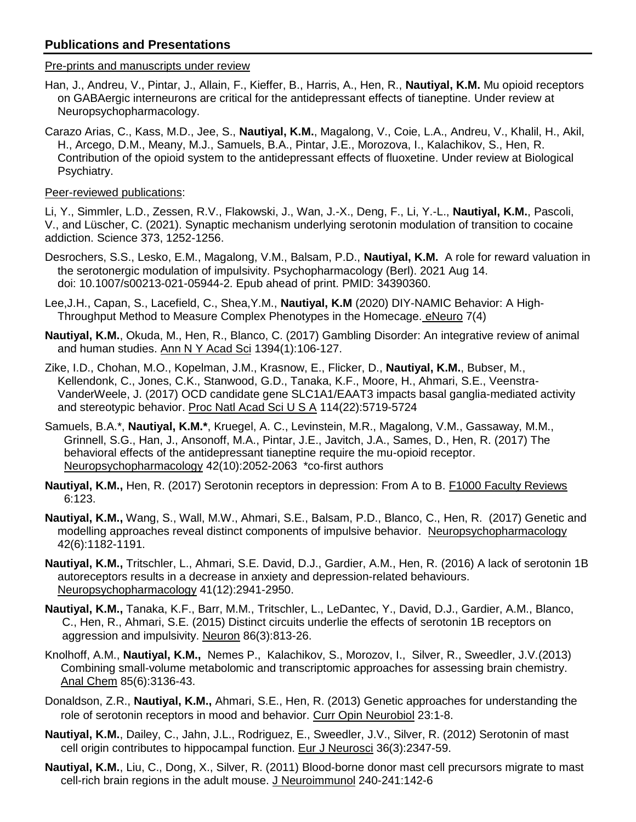# **Publications and Presentations**

## Pre-prints and manuscripts under review

- Han, J., Andreu, V., Pintar, J., Allain, F., Kieffer, B., Harris, A., Hen, R., **Nautiyal, K.M.** Mu opioid receptors on GABAergic interneurons are critical for the antidepressant effects of tianeptine. Under review at Neuropsychopharmacology.
- Carazo Arias, C., Kass, M.D., Jee, S., **Nautiyal, K.M.**, Magalong, V., Coie, L.A., Andreu, V., Khalil, H., Akil, H., Arcego, D.M., Meany, M.J., Samuels, B.A., Pintar, J.E., Morozova, I., Kalachikov, S., Hen, R. Contribution of the opioid system to the antidepressant effects of fluoxetine. Under review at Biological Psychiatry.

# Peer-reviewed publications:

Li, Y., Simmler, L.D., Zessen, R.V., Flakowski, J., Wan, J.-X., Deng, F., Li, Y.-L., **Nautiyal, K.M.**, Pascoli, V., and Lüscher, C. (2021). Synaptic mechanism underlying serotonin modulation of transition to cocaine addiction. Science 373, 1252-1256.

- Desrochers, S.S., Lesko, E.M., Magalong, V.M., Balsam, P.D., **Nautiyal, K.M.** A role for reward valuation in the serotonergic modulation of impulsivity. Psychopharmacology (Berl). 2021 Aug 14. doi: 10.1007/s00213-021-05944-2. Epub ahead of print. PMID: 34390360.
- Lee,J.H., Capan, S., Lacefield, C., Shea,Y.M., **Nautiyal, K.M** (2020) DIY-NAMIC Behavior: A High- Throughput Method to Measure Complex Phenotypes in the Homecage. eNeuro 7(4)
- **Nautiyal, K.M.**, Okuda, M., Hen, R., Blanco, C. (2017) Gambling Disorder: An integrative review of animal and human studies. Ann N Y Acad Sci 1394(1):106-127.
- Zike, I.D., Chohan, M.O., Kopelman, J.M., Krasnow, E., Flicker, D., **Nautiyal, K.M.**, Bubser, M., Kellendonk, C., Jones, C.K., Stanwood, G.D., Tanaka, K.F., Moore, H., Ahmari, S.E., Veenstra- VanderWeele, J. (2017) OCD candidate gene SLC1A1/EAAT3 impacts basal ganglia-mediated activity and stereotypic behavior. Proc Natl Acad Sci U S A 114(22):5719-5724
- Samuels, B.A.\*, **Nautiyal, K.M.\***, Kruegel, A. C., Levinstein, M.R., Magalong, V.M., Gassaway, M.M., Grinnell, S.G., Han, J., Ansonoff, M.A., Pintar, J.E., Javitch, J.A., Sames, D., Hen, R. (2017) The behavioral effects of the antidepressant tianeptine require the mu-opioid receptor. Neuropsychopharmacology 42(10):2052-2063 \*co-first authors
- **Nautiyal, K.M.,** Hen, R. (2017) Serotonin receptors in depression: From A to B. F1000 Faculty Reviews 6:123.
- **Nautiyal, K.M.,** Wang, S., Wall, M.W., Ahmari, S.E., Balsam, P.D., Blanco, C., Hen, R. (2017) Genetic and modelling approaches reveal distinct components of impulsive behavior. Neuropsychopharmacology 42(6):1182-1191.
- **Nautiyal, K.M.,** Tritschler, L., Ahmari, S.E. David, D.J., Gardier, A.M., Hen, R. (2016) A lack of serotonin 1B autoreceptors results in a decrease in anxiety and depression-related behaviours. Neuropsychopharmacology 41(12):2941-2950.
- **Nautiyal, K.M.,** Tanaka, K.F., Barr, M.M., Tritschler, L., LeDantec, Y., David, D.J., Gardier, A.M., Blanco, C., Hen, R., Ahmari, S.E. (2015) Distinct circuits underlie the effects of serotonin 1B receptors on aggression and impulsivity. Neuron 86(3):813-26.
- Knolhoff, A.M., **Nautiyal, K.M.,** Nemes P., Kalachikov, S., Morozov, I., Silver, R., Sweedler, J.V.(2013) Combining small-volume metabolomic and transcriptomic approaches for assessing brain chemistry. Anal Chem 85(6):3136-43.
- Donaldson, Z.R., **Nautiyal, K.M.,** Ahmari, S.E., Hen, R. (2013) Genetic approaches for understanding the role of serotonin receptors in mood and behavior. Curr Opin Neurobiol 23:1-8.
- **Nautiyal, K.M.**, Dailey, C., Jahn, J.L., Rodriguez, E., Sweedler, J.V., Silver, R. (2012) Serotonin of mast cell origin contributes to hippocampal function. Eur J Neurosci 36(3):2347-59.
- **Nautiyal, K.M.**, Liu, C., Dong, X., Silver, R. (2011) Blood-borne donor mast cell precursors migrate to mast cell-rich brain regions in the adult mouse. J Neuroimmunol 240-241:142-6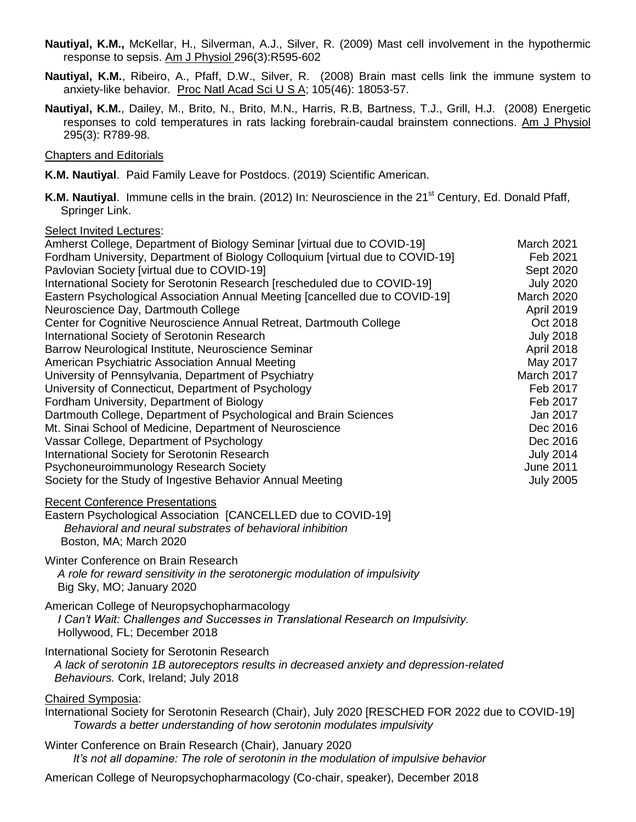- **Nautiyal, K.M.,** McKellar, H., Silverman, A.J., Silver, R. (2009) Mast cell involvement in the hypothermic response to sepsis. Am J Physiol 296(3):R595-602
- **Nautiyal, K.M.**, Ribeiro, A., Pfaff, D.W., Silver, R. (2008) Brain mast cells link the immune system to anxiety-like behavior*.* Proc Natl Acad Sci U S A; 105(46): 18053-57.
- **Nautiyal, K.M.**, Dailey, M., Brito, N., Brito, M.N., Harris, R.B, Bartness, T.J., Grill, H.J. (2008) Energetic responses to cold temperatures in rats lacking forebrain-caudal brainstem connections. Am J Physiol 295(3): R789-98.

#### Chapters and Editorials

- **K.M. Nautiyal**. Paid Family Leave for Postdocs. (2019) Scientific American.
- K.M. Nautiyal. Immune cells in the brain. (2012) In: Neuroscience in the 21<sup>st</sup> Century, Ed. Donald Pfaff, Springer Link.

# Select Invited Lectures:

| Amherst College, Department of Biology Seminar [virtual due to COVID-19]<br>Fordham University, Department of Biology Colloquium [virtual due to COVID-19]<br>Pavlovian Society [virtual due to COVID-19]<br>International Society for Serotonin Research [rescheduled due to COVID-19]<br>Eastern Psychological Association Annual Meeting [cancelled due to COVID-19]<br>Neuroscience Day, Dartmouth College<br>Center for Cognitive Neuroscience Annual Retreat, Dartmouth College<br>International Society of Serotonin Research<br>Barrow Neurological Institute, Neuroscience Seminar<br>American Psychiatric Association Annual Meeting<br>University of Pennsylvania, Department of Psychiatry<br>University of Connecticut, Department of Psychology<br>Fordham University, Department of Biology<br>Dartmouth College, Department of Psychological and Brain Sciences<br>Mt. Sinai School of Medicine, Department of Neuroscience<br>Vassar College, Department of Psychology<br>International Society for Serotonin Research<br>Psychoneuroimmunology Research Society<br>Society for the Study of Ingestive Behavior Annual Meeting | <b>March 2021</b><br>Feb 2021<br>Sept 2020<br><b>July 2020</b><br>March 2020<br><b>April 2019</b><br>Oct 2018<br><b>July 2018</b><br>April 2018<br>May 2017<br>March 2017<br>Feb 2017<br>Feb 2017<br>Jan 2017<br>Dec 2016<br>Dec 2016<br><b>July 2014</b><br><b>June 2011</b><br><b>July 2005</b> |
|-------------------------------------------------------------------------------------------------------------------------------------------------------------------------------------------------------------------------------------------------------------------------------------------------------------------------------------------------------------------------------------------------------------------------------------------------------------------------------------------------------------------------------------------------------------------------------------------------------------------------------------------------------------------------------------------------------------------------------------------------------------------------------------------------------------------------------------------------------------------------------------------------------------------------------------------------------------------------------------------------------------------------------------------------------------------------------------------------------------------------------------------------|---------------------------------------------------------------------------------------------------------------------------------------------------------------------------------------------------------------------------------------------------------------------------------------------------|
| <b>Recent Conference Presentations</b><br>Eastern Psychological Association [CANCELLED due to COVID-19]<br>Behavioral and neural substrates of behavioral inhibition<br>Boston, MA; March 2020                                                                                                                                                                                                                                                                                                                                                                                                                                                                                                                                                                                                                                                                                                                                                                                                                                                                                                                                                  |                                                                                                                                                                                                                                                                                                   |
| Winter Conference on Brain Research<br>A role for reward sensitivity in the serotonergic modulation of impulsivity<br>Big Sky, MO; January 2020                                                                                                                                                                                                                                                                                                                                                                                                                                                                                                                                                                                                                                                                                                                                                                                                                                                                                                                                                                                                 |                                                                                                                                                                                                                                                                                                   |
| American College of Neuropsychopharmacology<br>I Can't Wait: Challenges and Successes in Translational Research on Impulsivity.<br>Hollywood, FL; December 2018                                                                                                                                                                                                                                                                                                                                                                                                                                                                                                                                                                                                                                                                                                                                                                                                                                                                                                                                                                                 |                                                                                                                                                                                                                                                                                                   |
| International Society for Serotonin Research<br>A lack of serotonin 1B autoreceptors results in decreased anxiety and depression-related<br>Behaviours. Cork, Ireland; July 2018                                                                                                                                                                                                                                                                                                                                                                                                                                                                                                                                                                                                                                                                                                                                                                                                                                                                                                                                                                |                                                                                                                                                                                                                                                                                                   |
| <b>Chaired Symposia:</b><br>International Society for Serotonin Research (Chair), July 2020 [RESCHED FOR 2022 due to COVID-19]<br>Towards a better understanding of how serotonin modulates impulsivity                                                                                                                                                                                                                                                                                                                                                                                                                                                                                                                                                                                                                                                                                                                                                                                                                                                                                                                                         |                                                                                                                                                                                                                                                                                                   |
| Winter Conference on Brain Research (Chair), January 2020<br>It's not all dopamine: The role of serotonin in the modulation of impulsive behavior                                                                                                                                                                                                                                                                                                                                                                                                                                                                                                                                                                                                                                                                                                                                                                                                                                                                                                                                                                                               |                                                                                                                                                                                                                                                                                                   |

American College of Neuropsychopharmacology (Co-chair, speaker), December 2018